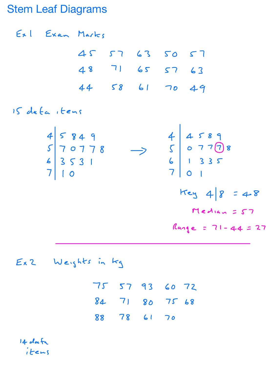## Stem Leaf Diagrams

Ext Exam Marks 45 57 63 50 57 48 71 65 57 63 44 58 61 <sup>70</sup> 49 15 data items  $\zeta$  0 7 7 7 8 1 3 35  $Key 48 = 48$  $M$ edian = 57  $Range = 71 - 44 = 27$ 

Ex <sup>2</sup> Weights in kg

75 57 93 60 72 84 71 80 75 68 88 78 61 70

14 dafa items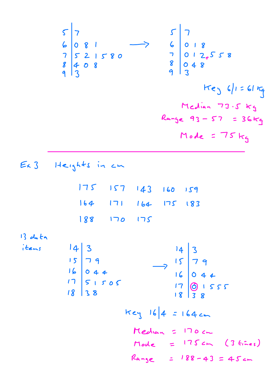57 5 7 6 08 1 7 6 <sup>0</sup> 18 7 52 1580 <sup>7</sup> <sup>01</sup> 2,558 8 048 9 308 9 3 Key <sup>6</sup> <sup>1</sup> 61kg Median 73.5kg Range <sup>93</sup> <sup>57</sup> 36kg Mode 75kg Ex 3 Heights in cm 175 157 143 <sup>160</sup> 159 164 171 164 175 183 188 170 175 13 data items 143 14 3 15 79 15 7 9 <sup>16</sup> <sup>044</sup> <sup>16</sup> <sup>044</sup> 17 51 505 18 <sup>38</sup> 1 3081555 key 164 164cm Median 170cm Mode 175cm 3 fines Range 188 43 45cm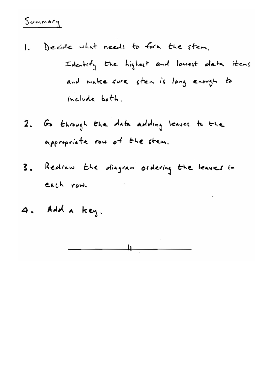## $Sommary$

- 1. Decide what needs to form the stem. Identity the highest and lowest data items and make sure stem is long enough to include both.
- 2. Go through the data adding leaves to the appropriate row of the stem.
- 3. Redraw the diagram ordering the leaves in each row.
- 4. Add a key.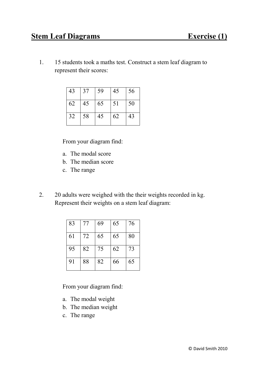## **Stem Leaf Diagrams Exercise (1)**

1. 15 students took a maths test. Construct a stem leaf diagram to represent their scores:

| 43 | 37 | 59 | 45 | 56 |
|----|----|----|----|----|
| 62 | 45 | 65 | 51 | 50 |
| 32 | 58 | 45 | 62 | 43 |

From your diagram find:

- a. The modal score
- b. The median score
- c. The range
- 2. 20 adults were weighed with the their weights recorded in kg. Represent their weights on a stem leaf diagram:

| 83 | 77 | 69 | 65 | 76 |
|----|----|----|----|----|
| 61 | 72 | 65 | 65 | 80 |
| 95 | 82 | 75 | 62 | 73 |
| 91 | 88 | 82 | 66 | 65 |

From your diagram find:

- a. The modal weight
- b. The median weight
- c. The range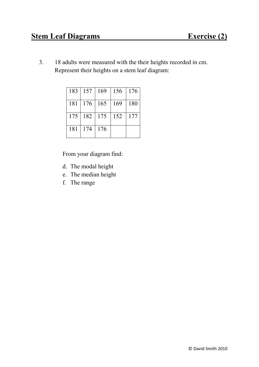3. 18 adults were measured with the their heights recorded in cm. Represent their heights on a stem leaf diagram:

|     | 183   157   169 |     | 156 | $\vert$ 176 |
|-----|-----------------|-----|-----|-------------|
| 181 | $176$   165     |     | 169 | 180         |
|     | $175 \mid 182$  | 175 | 152 | 177         |
| 181 | 174             | 176 |     |             |

From your diagram find:

- d. The modal height
- e. The median height
- f. The range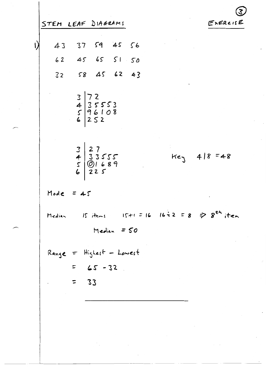|             |                                                                              | <u>ડ</u>                                                       |
|-------------|------------------------------------------------------------------------------|----------------------------------------------------------------|
|             | STEM LEAF DIAGRAMS                                                           | EXERCISE                                                       |
| 43          | 37 59 45 56                                                                  |                                                                |
|             | 62 45 65 51 50                                                               |                                                                |
| 32          | 58456243                                                                     |                                                                |
|             | $\begin{array}{c c} 3 & 72 \\ 4 & 35553 \\ 5 & 96108 \\ 6 & 252 \end{array}$ |                                                                |
|             | $327$<br>$433555$<br>$501689$<br>$6225$                                      | $Key 418 = 48$                                                 |
| Mode = $45$ |                                                                              |                                                                |
| Median      | Median = $50$                                                                | Is items $ S+1  =  6   16  \geq 2 = 8 \Rightarrow 8^{th}$ item |
|             | Range = Highest - Lowest<br>$= 65 - 32$                                      |                                                                |
|             | 33<br>$\equiv$                                                               |                                                                |

 $\frac{1}{2}$ 

 $\hat{\mathcal{L}}$ 

 $\hat{\boldsymbol{\beta}}$ 

 $\hat{c} = \hat{c}$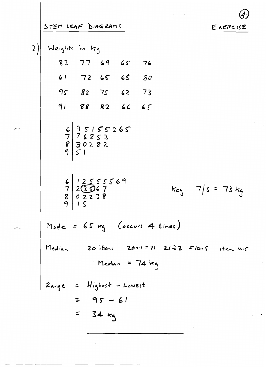STEM LEAF DIAGRAMS

 $\sim 3$ 

 $2)$